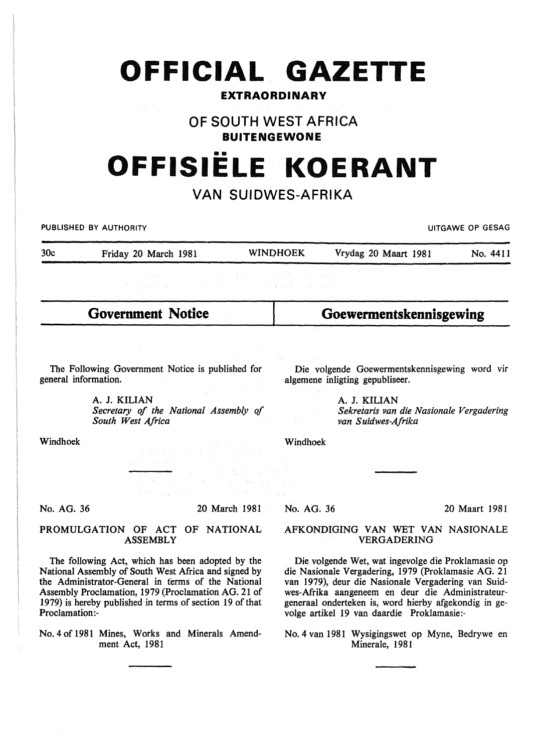## **OFFICIAL GAZETTE**

### **EXTRAORDINARY**

**OF SOUTH WEST AFRICA** 

**BUITENGEWONE** 

# •• **OFFISIELE KOERANT**

## **VAN SUIDWES-AFRIKA**

PUBLISHED BY AUTHORITY **EXECUTE A SECURE 2018 THE SECURE 2019 OF SESAGREED ASSAULTS AND LITGAWE OP GESAGREED** 

| 30c | Friday 20 March 1981                | <b>WINDHOEK</b> | Vrydag 20 Maart 1981 | No. 4411 |
|-----|-------------------------------------|-----------------|----------------------|----------|
|     |                                     |                 |                      |          |
|     | ,我们这样都不是是是,但是你们的时候,你们的是真的情况,我们就会不到。 |                 |                      |          |

**Government Notice** 

**Goewermentskennisgewing** 

The Following Government Notice is published for general information.

Die volgende Goewermentskennisgewing word vir algemene inligting gepubliseer.

A. J. KILIAN *Secretary of the National Assembly of South West Africa* 

A. J. KILIAN *Sekreiaris van die Nasionale Vergadering van Suidwes-Afrika* 

Windhoek

 $\begin{aligned} &\mathbf{W} \text{indhoek} \\ &\mathbf{F} \sim \mathcal{F} \mathcal{F} \sim \mathcal{F} \sim \mathcal{F} \sim \mathcal{F} \sim \mathcal{F} \sim \mathcal{F} \sim \mathcal{F} \sim \mathcal{F} \sim \mathcal{F} \sim \mathcal{F} \sim \mathcal{F} \sim \mathcal{F} \sim \mathcal{F} \sim \mathcal{F} \sim \mathcal{F} \sim \mathcal{F} \sim \mathcal{F} \sim \mathcal{F} \sim \mathcal{F} \sim \mathcal{F} \sim \mathcal{F} \sim \mathcal{F} \sim \mathcal{F} \sim \$ 

No. AG. 36

20 March 1981

a providence also

2. 中华人数 电子 人名德利尔 医神经病毒

No. AG. 36

20 Maart 1981

#### PROMULGATION OF ACT OF NATIONAL ASSEMBLY

 $\langle \mathcal{R}_\alpha \rangle^2 \mathcal{R}_\alpha^2 = \langle \mathcal{L}_\alpha \rangle^2 = \langle \mathcal{R}_\alpha \rangle^2.$ 

The following Act, which has been adopted by the National Assembly of South West Africa and signed by the Administrator-General in terms of the National Assembly Proclamation, 1979 (Proclamation AG. 21 of 1979) is hereby published in terms of section 19 of that Proclamation:-

No.4 of 1981 Mines, Works and Minerals Amendment Act, 1981

#### AFKONDIGING VAN WET VAN NASIONALE VERGADERING

Die volgende Wet, wat ingevolge die Proklamasie op die Nasionale Vergadering, 1979 (Proklamasie AG. 21 van 1979), deur die Nasionale Vergadering van Suidwes-Afrika aangeneem en deur die Administrateurgeneraal onderteken is, word hierby afgekondig in gevolge artikel 19 van daardie Proklamasie:-

No.4 van 1981 Wysigingswet op Myne, Bedrywe en Minerale, 1981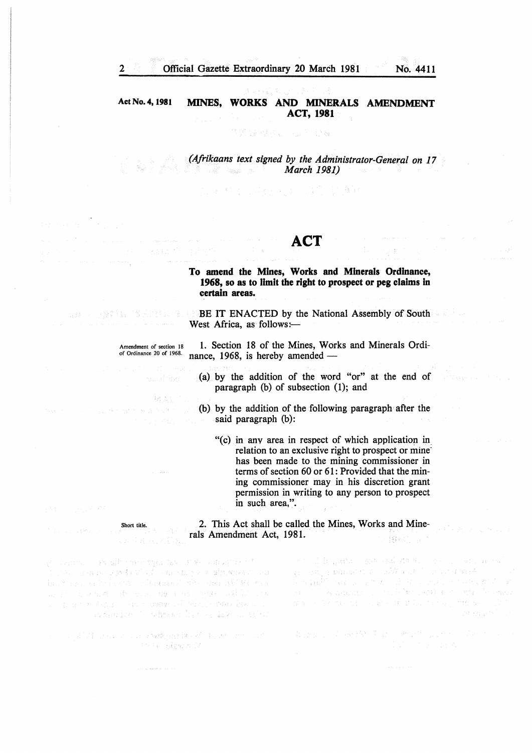2 Official Gazette Extraordinary 20 March 1981 No. 4411

#### Act No.4, 1981 MINES, WORKS AND MINERALS AMENDMENT ACT, 1981

#### TERRES ATTR

*(Afrikaans text signed by the Administrator-General on 17 March 1981)* 

计程序程序 计程序 机油 计算符 经预算额利率

## ACT

#### To amend the Mines, Works and Minerals Ordinance, 1968, so as to limit the right to prospect or peg claims In certain areas.

BE IT ENACTED by the National Assembly of South 1994年 - 東藤幹島、「松田県地町、後、もあ West Africa, as follows:-

#### Amendment of section 18 or Ordinance 20 or 1968.

 $32 - 2 - 3$ 

医中央性皮炎 经成本资产

10130000

1. Section 18 of the Mines, Works and Minerals Ordinance, 1968, is hereby amended  $-$ 

- (a) by the addition of the word "or" at the end of paragraph (b) of subsection (1); and
- (b) by the addition of the following paragraph after the said paragraph (b):
	- "(c) in anv area in respect of which application in\_ relation to an exclusive right to prospect or mine· has been made to the mining commissioner in terms of section 60 or 61: Provided that the mining commissioner may in his discretion grant permission in writing to any person to prospect in such area,".

2. This Act shall be called the Mines, Works and Minerals Amendment Act, 1981. 3.容易于1

The site of the squares of Venestras into a en el marco de la segunda de la compañada<br>19 a de la encidad de Valada al mandelo de la alfabetación del<br>19 a escado de la españa de la lasta de la estadounidad de la marked that the same of the second state of the second state of the 

an an S

print and then regionist it it is the model Poly Electric

From Bandham and painterful con-Construction Pas We will admits that with cure in a good was while you a small of the seal services e a sentencia de la construcción de la construcción de la construcción de la construcción de la construcción d<br>1988 - La construcción de la construcción de la construcción de la construcción de la construcción de la const<br>

Bush of activity and worth pure of the

Short title.

 $\sim 1.37$